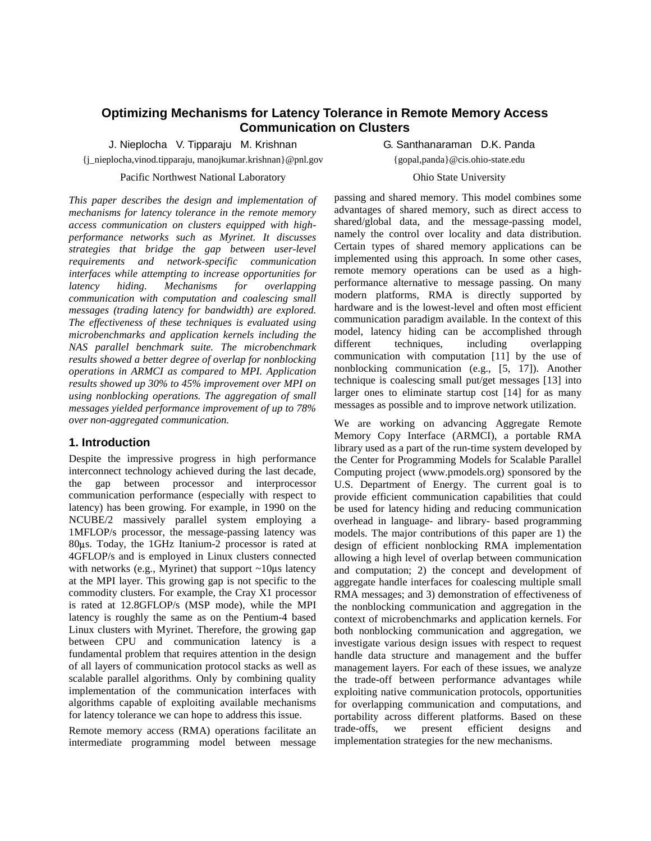# **Optimizing Mechanisms for Latency Tolerance in Remote Memory Access Communication on Clusters**

J. Nieplocha V. Tipparaju M. Krishnan

G. Santhanaraman D.K. Panda

{j\_nieplocha,vinod.tipparaju, manojkumar.krishnan}@pnl.gov

## Pacific Northwest National Laboratory **Channel Constant Constant Constant Constant Constant Constant Constant Constant Constant Constant Constant Constant Constant Constant Constant Constant Constant Constant Constant Cons**

{gopal,panda}@cis.ohio-state.edu

*This paper describes the design and implementation of mechanisms for latency tolerance in the remote memory access communication on clusters equipped with highperformance networks such as Myrinet. It discusses strategies that bridge the gap between user-level requirements and network-specific communication interfaces while attempting to increase opportunities for latency hiding. Mechanisms for overlapping communication with computation and coalescing small messages (trading latency for bandwidth) are explored. The effectiveness of these techniques is evaluated using microbenchmarks and application kernels including the NAS parallel benchmark suite. The microbenchmark results showed a better degree of overlap for nonblocking operations in ARMCI as compared to MPI. Application results showed up 30% to 45% improvement over MPI on using nonblocking operations. The aggregation of small messages yielded performance improvement of up to 78% over non-aggregated communication.*

#### **1. Introduction**

Despite the impressive progress in high performance interconnect technology achieved during the last decade, the gap between processor and interprocessor communication performance (especially with respect to latency) has been growing. For example, in 1990 on the NCUBE/2 massively parallel system employing a 1MFLOP/s processor, the message-passing latency was 80 s. Today, the 1GHz Itanium-2 processor is rated at 4GFLOP/s and is employed in Linux clusters connected with networks (e.g., Myrinet) that support  $\sim 10 \mu s$  latency at the MPI layer. This growing gap is not specific to the commodity clusters. For example, the Cray X1 processor is rated at 12.8GFLOP/s (MSP mode), while the MPI latency is roughly the same as on the Pentium-4 based Linux clusters with Myrinet. Therefore, the growing gap between CPU and communication latency is a fundamental problem that requires attention in the design of all layers of communication protocol stacks as well as scalable parallel algorithms. Only by combining quality implementation of the communication interfaces with algorithms capable of exploiting available mechanisms for latency tolerance we can hope to address this issue.

Remote memory access (RMA) operations facilitate an intermediate programming model between message

passing and shared memory. This model combines some advantages of shared memory, such as direct access to shared/global data, and the message-passing model, namely the control over locality and data distribution. Certain types of shared memory applications can be implemented using this approach. In some other cases, remote memory operations can be used as a highperformance alternative to message passing. On many modern platforms, RMA is directly supported by hardware and is the lowest-level and often most efficient communication paradigm available. In the context of this model, latency hiding can be accomplished through different techniques, including overlapping communication with computation [11] by the use of nonblocking communication (e.g., [5, 17]). Another technique is coalescing small put/get messages [13] into larger ones to eliminate startup cost [14] for as many messages as possible and to improve network utilization.

We are working on advancing Aggregate Remote Memory Copy Interface (ARMCI), a portable RMA library used as a part of the run-time system developed by the Center for Programming Models for Scalable Parallel Computing project (www.pmodels.org) sponsored by the U.S. Department of Energy. The current goal is to provide efficient communication capabilities that could be used for latency hiding and reducing communication overhead in language- and library- based programming models. The major contributions of this paper are 1) the design of efficient nonblocking RMA implementation allowing a high level of overlap between communication and computation; 2) the concept and development of aggregate handle interfaces for coalescing multiple small RMA messages; and 3) demonstration of effectiveness of the nonblocking communication and aggregation in the context of microbenchmarks and application kernels. For both nonblocking communication and aggregation, we investigate various design issues with respect to request handle data structure and management and the buffer management layers. For each of these issues, we analyze the trade-off between performance advantages while exploiting native communication protocols, opportunities for overlapping communication and computations, and portability across different platforms. Based on these trade-offs, we present efficient designs and implementation strategies for the new mechanisms.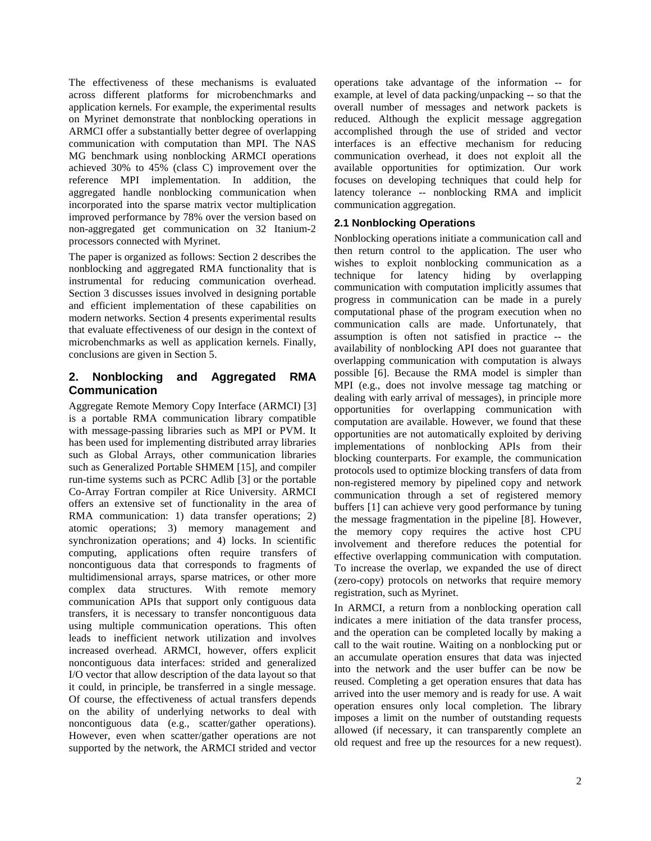The effectiveness of these mechanisms is evaluated across different platforms for microbenchmarks and application kernels. For example, the experimental results on Myrinet demonstrate that nonblocking operations in ARMCI offer a substantially better degree of overlapping communication with computation than MPI. The NAS MG benchmark using nonblocking ARMCI operations achieved 30% to 45% (class C) improvement over the reference MPI implementation. In addition, the aggregated handle nonblocking communication when incorporated into the sparse matrix vector multiplication improved performance by 78% over the version based on non-aggregated get communication on 32 Itanium-2 processors connected with Myrinet.

The paper is organized as follows: Section 2 describes the nonblocking and aggregated RMA functionality that is instrumental for reducing communication overhead. Section 3 discusses issues involved in designing portable and efficient implementation of these capabilities on modern networks. Section 4 presents experimental results that evaluate effectiveness of our design in the context of microbenchmarks as well as application kernels. Finally, conclusions are given in Section 5.

# **2. Nonblocking and Aggregated RMA Communication**

Aggregate Remote Memory Copy Interface (ARMCI) [3] is a portable RMA communication library compatible with message-passing libraries such as MPI or PVM. It has been used for implementing distributed array libraries such as Global Arrays, other communication libraries such as Generalized Portable SHMEM [15], and compiler run-time systems such as PCRC Adlib [3] or the portable Co-Array Fortran compiler at Rice University. ARMCI offers an extensive set of functionality in the area of RMA communication: 1) data transfer operations; 2) atomic operations; 3) memory management and synchronization operations; and 4) locks. In scientific computing, applications often require transfers of noncontiguous data that corresponds to fragments of multidimensional arrays, sparse matrices, or other more complex data structures. With remote memory communication APIs that support only contiguous data transfers, it is necessary to transfer noncontiguous data using multiple communication operations. This often leads to inefficient network utilization and involves increased overhead. ARMCI, however, offers explicit noncontiguous data interfaces: strided and generalized I/O vector that allow description of the data layout so that it could, in principle, be transferred in a single message. Of course, the effectiveness of actual transfers depends on the ability of underlying networks to deal with noncontiguous data (e.g., scatter/gather operations). However, even when scatter/gather operations are not supported by the network, the ARMCI strided and vector

operations take advantage of the information -- for example, at level of data packing/unpacking -- so that the overall number of messages and network packets is reduced. Although the explicit message aggregation accomplished through the use of strided and vector interfaces is an effective mechanism for reducing communication overhead, it does not exploit all the available opportunities for optimization. Our work focuses on developing techniques that could help for latency tolerance -- nonblocking RMA and implicit communication aggregation.

# **2.1 Nonblocking Operations**

Nonblocking operations initiate a communication call and then return control to the application. The user who wishes to exploit nonblocking communication as a technique for latency hiding by overlapping communication with computation implicitly assumes that progress in communication can be made in a purely computational phase of the program execution when no communication calls are made. Unfortunately, that assumption is often not satisfied in practice -- the availability of nonblocking API does not guarantee that overlapping communication with computation is always possible [6]. Because the RMA model is simpler than MPI (e.g., does not involve message tag matching or dealing with early arrival of messages), in principle more opportunities for overlapping communication with computation are available. However, we found that these opportunities are not automatically exploited by deriving implementations of nonblocking APIs from their blocking counterparts. For example, the communication protocols used to optimize blocking transfers of data from non-registered memory by pipelined copy and network communication through a set of registered memory buffers [1] can achieve very good performance by tuning the message fragmentation in the pipeline [8]. However, the memory copy requires the active host CPU involvement and therefore reduces the potential for effective overlapping communication with computation. To increase the overlap, we expanded the use of direct (zero-copy) protocols on networks that require memory registration, such as Myrinet.

In ARMCI, a return from a nonblocking operation call indicates a mere initiation of the data transfer process, and the operation can be completed locally by making a call to the wait routine. Waiting on a nonblocking put or an accumulate operation ensures that data was injected into the network and the user buffer can be now be reused. Completing a get operation ensures that data has arrived into the user memory and is ready for use. A wait operation ensures only local completion. The library imposes a limit on the number of outstanding requests allowed (if necessary, it can transparently complete an old request and free up the resources for a new request).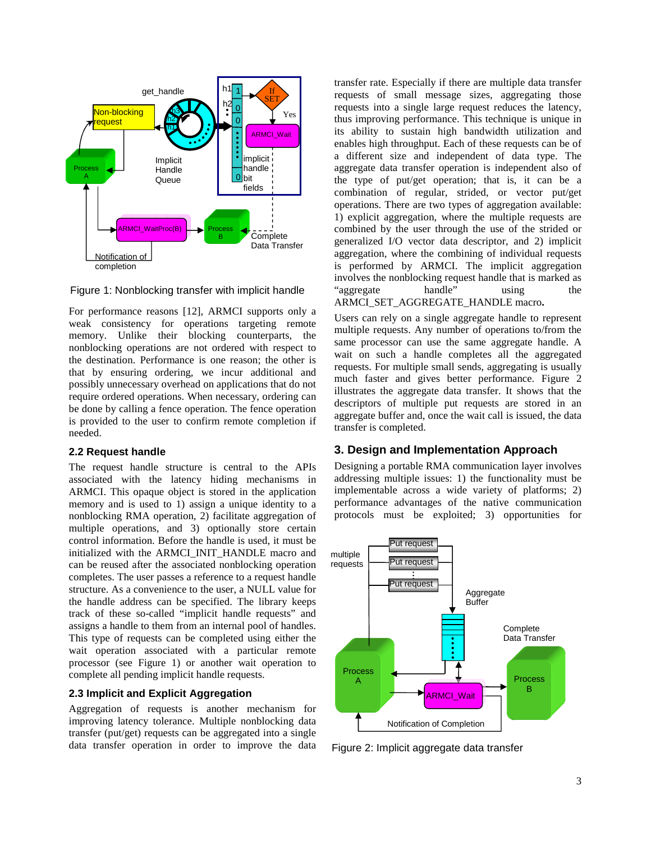

Figure 1: Nonblocking transfer with implicit handle

For performance reasons [12], ARMCI supports only a weak consistency for operations targeting remote memory. Unlike their blocking counterparts, the nonblocking operations are not ordered with respect to the destination. Performance is one reason; the other is that by ensuring ordering, we incur additional and possibly unnecessary overhead on applications that do not require ordered operations. When necessary, ordering can be done by calling a fence operation. The fence operation is provided to the user to confirm remote completion if needed.

#### **2.2 Request handle**

The request handle structure is central to the APIs associated with the latency hiding mechanisms in ARMCI. This opaque object is stored in the application memory and is used to 1) assign a unique identity to a nonblocking RMA operation, 2) facilitate aggregation of multiple operations, and 3) optionally store certain control information. Before the handle is used, it must be initialized with the ARMCI\_INIT\_HANDLE macro and can be reused after the associated nonblocking operation completes. The user passes a reference to a request handle structure. As a convenience to the user, a NULL value for the handle address can be specified. The library keeps track of these so-called "implicit handle requests" and assigns a handle to them from an internal pool of handles. This type of requests can be completed using either the wait operation associated with a particular remote processor (see Figure 1) or another wait operation to complete all pending implicit handle requests.

#### **2.3 Implicit and Explicit Aggregation**

Aggregation of requests is another mechanism for improving latency tolerance. Multiple nonblocking data transfer (put/get) requests can be aggregated into a single data transfer operation in order to improve the data

transfer rate. Especially if there are multiple data transfer requests of small message sizes, aggregating those requests into a single large request reduces the latency, thus improving performance. This technique is unique in its ability to sustain high bandwidth utilization and enables high throughput. Each of these requests can be of a different size and independent of data type. The aggregate data transfer operation is independent also of the type of put/get operation; that is, it can be a combination of regular, strided, or vector put/get operations. There are two types of aggregation available: 1) explicit aggregation, where the multiple requests are combined by the user through the use of the strided or generalized I/O vector data descriptor, and 2) implicit aggregation, where the combining of individual requests is performed by ARMCI. The implicit aggregation involves the nonblocking request handle that is marked as "aggregate handle" using the ARMCI\_SET\_AGGREGATE\_HANDLE macro**.**

Users can rely on a single aggregate handle to represent multiple requests. Any number of operations to/from the same processor can use the same aggregate handle. A wait on such a handle completes all the aggregated requests. For multiple small sends, aggregating is usually much faster and gives better performance. Figure 2 illustrates the aggregate data transfer. It shows that the descriptors of multiple put requests are stored in an aggregate buffer and, once the wait call is issued, the data transfer is completed.

# **3. Design and Implementation Approach**

Designing a portable RMA communication layer involves addressing multiple issues: 1) the functionality must be implementable across a wide variety of platforms; 2) performance advantages of the native communication protocols must be exploited; 3) opportunities for



Figure 2: Implicit aggregate data transfer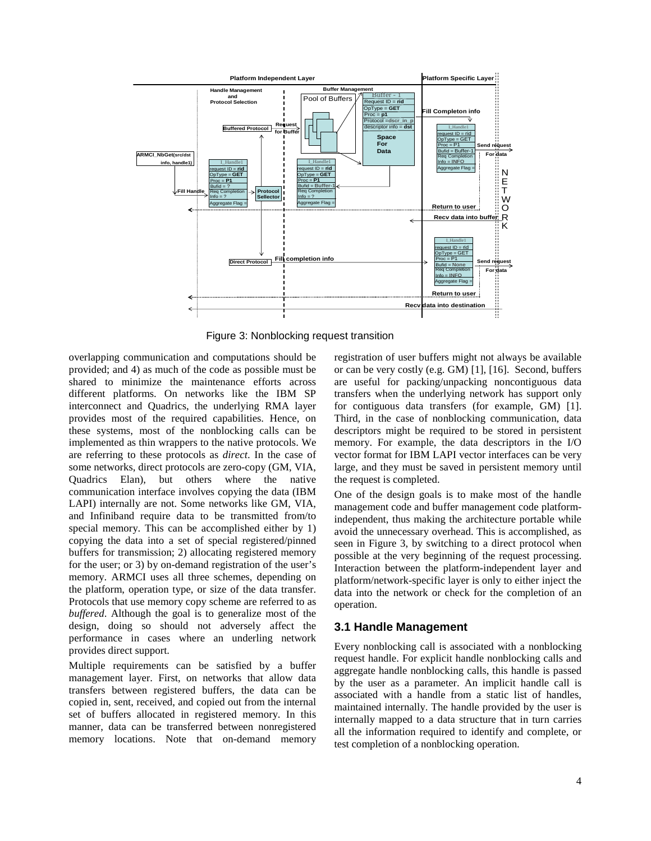

Figure 3: Nonblocking request transition

overlapping communication and computations should be provided; and 4) as much of the code as possible must be shared to minimize the maintenance efforts across different platforms. On networks like the IBM SP interconnect and Quadrics, the underlying RMA layer provides most of the required capabilities. Hence, on these systems, most of the nonblocking calls can be implemented as thin wrappers to the native protocols. We are referring to these protocols as *direct*. In the case of some networks, direct protocols are zero-copy (GM, VIA, Quadrics Elan), but others where the native communication interface involves copying the data (IBM LAPI) internally are not. Some networks like GM, VIA, and Infiniband require data to be transmitted from/to special memory. This can be accomplished either by 1) copying the data into a set of special registered/pinned buffers for transmission; 2) allocating registered memory for the user; or 3) by on-demand registration of the user's memory. ARMCI uses all three schemes, depending on the platform, operation type, or size of the data transfer. Protocols that use memory copy scheme are referred to as *buffered*. Although the goal is to generalize most of the design, doing so should not adversely affect the performance in cases where an underling network provides direct support.

Multiple requirements can be satisfied by a buffer management layer. First, on networks that allow data transfers between registered buffers, the data can be copied in, sent, received, and copied out from the internal set of buffers allocated in registered memory. In this manner, data can be transferred between nonregistered memory locations. Note that on-demand memory

registration of user buffers might not always be available or can be very costly (e.g. GM) [1], [16]. Second, buffers are useful for packing/unpacking noncontiguous data transfers when the underlying network has support only for contiguous data transfers (for example, GM) [1]. Third, in the case of nonblocking communication, data descriptors might be required to be stored in persistent memory. For example, the data descriptors in the I/O vector format for IBM LAPI vector interfaces can be very large, and they must be saved in persistent memory until the request is completed.

One of the design goals is to make most of the handle management code and buffer management code platformindependent, thus making the architecture portable while avoid the unnecessary overhead. This is accomplished, as seen in Figure 3, by switching to a direct protocol when possible at the very beginning of the request processing. Interaction between the platform-independent layer and platform/network-specific layer is only to either inject the data into the network or check for the completion of an operation.

## **3.1 Handle Management**

Every nonblocking call is associated with a nonblocking request handle. For explicit handle nonblocking calls and aggregate handle nonblocking calls, this handle is passed by the user as a parameter. An implicit handle call is associated with a handle from a static list of handles, maintained internally. The handle provided by the user is internally mapped to a data structure that in turn carries all the information required to identify and complete, or test completion of a nonblocking operation.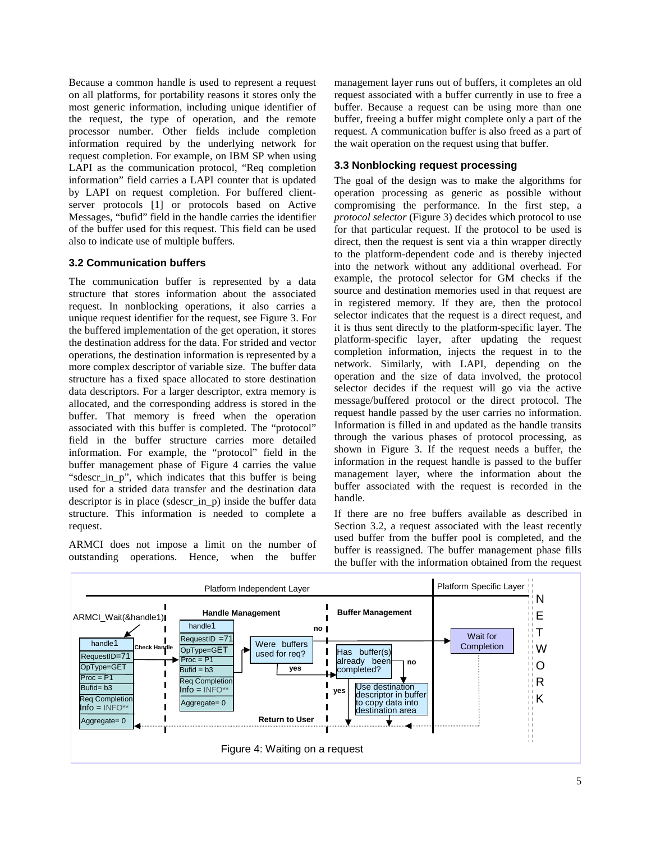Because a common handle is used to represent a request on all platforms, for portability reasons it stores only the most generic information, including unique identifier of the request, the type of operation, and the remote processor number. Other fields include completion information required by the underlying network for request completion. For example, on IBM SP when using LAPI as the communication protocol, "Req completion information" field carries a LAPI counter that is updated by LAPI on request completion. For buffered clientserver protocols [1] or protocols based on Active Messages, "bufid" field in the handle carries the identifier of the buffer used for this request. This field can be used also to indicate use of multiple buffers.

## **3.2 Communication buffers**

The communication buffer is represented by a data structure that stores information about the associated request. In nonblocking operations, it also carries a unique request identifier for the request, see Figure 3. For the buffered implementation of the get operation, it stores the destination address for the data. For strided and vector operations, the destination information is represented by a more complex descriptor of variable size. The buffer data structure has a fixed space allocated to store destination data descriptors. For a larger descriptor, extra memory is allocated, and the corresponding address is stored in the buffer. That memory is freed when the operation associated with this buffer is completed. The "protocol" field in the buffer structure carries more detailed information. For example, the "protocol" field in the buffer management phase of Figure 4 carries the value "sdescr\_in\_p", which indicates that this buffer is being used for a strided data transfer and the destination data descriptor is in place (sdescr in p) inside the buffer data structure. This information is needed to complete a request.

ARMCI does not impose a limit on the number of outstanding operations. Hence, when the buffer

management layer runs out of buffers, it completes an old request associated with a buffer currently in use to free a buffer. Because a request can be using more than one buffer, freeing a buffer might complete only a part of the request. A communication buffer is also freed as a part of the wait operation on the request using that buffer.

## **3.3 Nonblocking request processing**

The goal of the design was to make the algorithms for operation processing as generic as possible without compromising the performance. In the first step, a *protocol selector* (Figure 3) decides which protocol to use for that particular request. If the protocol to be used is direct, then the request is sent via a thin wrapper directly to the platform-dependent code and is thereby injected into the network without any additional overhead. For example, the protocol selector for GM checks if the source and destination memories used in that request are in registered memory. If they are, then the protocol selector indicates that the request is a direct request, and it is thus sent directly to the platform-specific layer. The platform-specific layer, after updating the request completion information, injects the request in to the network. Similarly, with LAPI, depending on the operation and the size of data involved, the protocol selector decides if the request will go via the active message/buffered protocol or the direct protocol. The request handle passed by the user carries no information. Information is filled in and updated as the handle transits through the various phases of protocol processing, as shown in Figure 3. If the request needs a buffer, the information in the request handle is passed to the buffer management layer, where the information about the buffer associated with the request is recorded in the handle.

If there are no free buffers available as described in Section 3.2, a request associated with the least recently used buffer from the buffer pool is completed, and the buffer is reassigned. The buffer management phase fills the buffer with the information obtained from the request

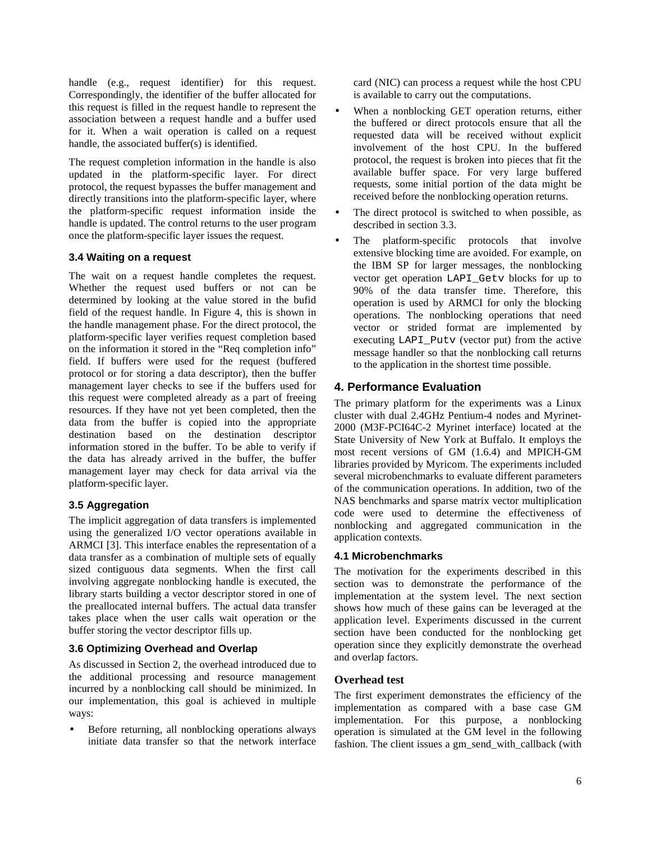handle (e.g., request identifier) for this request. Correspondingly, the identifier of the buffer allocated for this request is filled in the request handle to represent the association between a request handle and a buffer used for it. When a wait operation is called on a request handle, the associated buffer(s) is identified.

The request completion information in the handle is also updated in the platform-specific layer. For direct protocol, the request bypasses the buffer management and directly transitions into the platform-specific layer, where the platform-specific request information inside the handle is updated. The control returns to the user program once the platform-specific layer issues the request.

## **3.4 Waiting on a request**

The wait on a request handle completes the request. Whether the request used buffers or not can be determined by looking at the value stored in the bufid field of the request handle. In Figure 4, this is shown in the handle management phase. For the direct protocol, the platform-specific layer verifies request completion based on the information it stored in the "Req completion info" field. If buffers were used for the request (buffered protocol or for storing a data descriptor), then the buffer management layer checks to see if the buffers used for this request were completed already as a part of freeing resources. If they have not yet been completed, then the data from the buffer is copied into the appropriate destination based on the destination descriptor information stored in the buffer. To be able to verify if the data has already arrived in the buffer, the buffer management layer may check for data arrival via the platform-specific layer.

# **3.5 Aggregation**

The implicit aggregation of data transfers is implemented using the generalized I/O vector operations available in ARMCI [3]. This interface enables the representation of a data transfer as a combination of multiple sets of equally sized contiguous data segments. When the first call involving aggregate nonblocking handle is executed, the library starts building a vector descriptor stored in one of the preallocated internal buffers. The actual data transfer takes place when the user calls wait operation or the buffer storing the vector descriptor fills up.

# **3.6 Optimizing Overhead and Overlap**

As discussed in Section 2, the overhead introduced due to the additional processing and resource management incurred by a nonblocking call should be minimized. In our implementation, this goal is achieved in multiple ways:

• Before returning, all nonblocking operations always initiate data transfer so that the network interface card (NIC) can process a request while the host CPU is available to carry out the computations.

- When a nonblocking GET operation returns, either the buffered or direct protocols ensure that all the requested data will be received without explicit involvement of the host CPU. In the buffered protocol, the request is broken into pieces that fit the available buffer space. For very large buffered requests, some initial portion of the data might be received before the nonblocking operation returns.
- The direct protocol is switched to when possible, as described in section 3.3.
- The platform-specific protocols that involve extensive blocking time are avoided. For example, on the IBM SP for larger messages, the nonblocking vector get operation LAPI\_Getv blocks for up to 90% of the data transfer time. Therefore, this operation is used by ARMCI for only the blocking operations. The nonblocking operations that need vector or strided format are implemented by executing LAPI\_Putv (vector put) from the active message handler so that the nonblocking call returns to the application in the shortest time possible.

# **4. Performance Evaluation**

The primary platform for the experiments was a Linux cluster with dual 2.4GHz Pentium-4 nodes and Myrinet-2000 (M3F-PCI64C-2 Myrinet interface) located at the State University of New York at Buffalo. It employs the most recent versions of GM (1.6.4) and MPICH-GM libraries provided by Myricom. The experiments included several microbenchmarks to evaluate different parameters of the communication operations. In addition, two of the NAS benchmarks and sparse matrix vector multiplication code were used to determine the effectiveness of nonblocking and aggregated communication in the application contexts.

# **4.1 Microbenchmarks**

The motivation for the experiments described in this section was to demonstrate the performance of the implementation at the system level. The next section shows how much of these gains can be leveraged at the application level. Experiments discussed in the current section have been conducted for the nonblocking get operation since they explicitly demonstrate the overhead and overlap factors.

## **Overhead test**

The first experiment demonstrates the efficiency of the implementation as compared with a base case GM implementation. For this purpose, a nonblocking operation is simulated at the GM level in the following fashion. The client issues a gm\_send\_with\_callback (with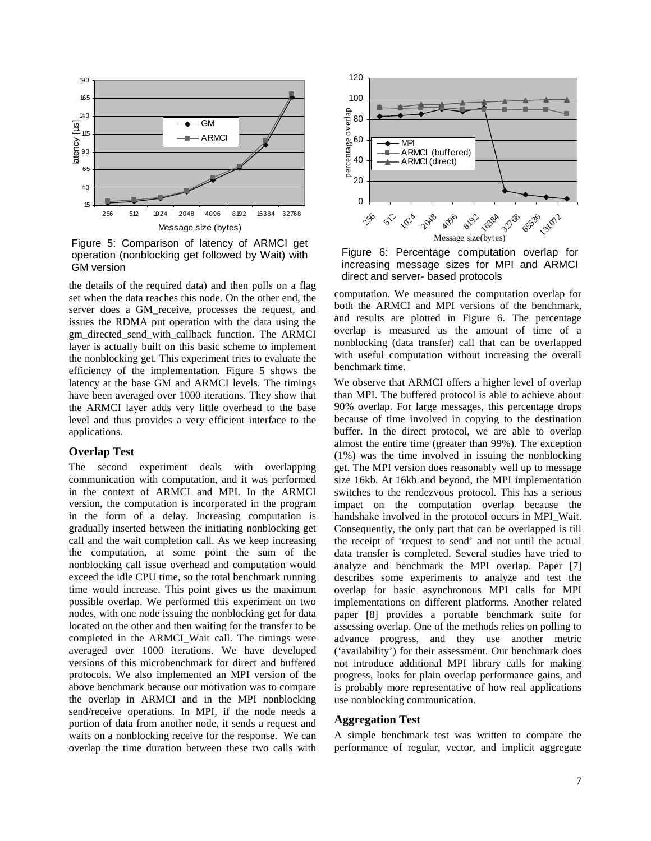

Figure 5: Comparison of latency of ARMCI get operation (nonblocking get followed by Wait) with GM version

the details of the required data) and then polls on a flag set when the data reaches this node. On the other end, the server does a GM\_receive, processes the request, and issues the RDMA put operation with the data using the gm\_directed\_send\_with\_callback function. The ARMCI layer is actually built on this basic scheme to implement the nonblocking get. This experiment tries to evaluate the efficiency of the implementation. Figure 5 shows the latency at the base GM and ARMCI levels. The timings have been averaged over 1000 iterations. They show that the ARMCI layer adds very little overhead to the base level and thus provides a very efficient interface to the applications.

#### **Overlap Test**

The second experiment deals with overlapping communication with computation, and it was performed in the context of ARMCI and MPI. In the ARMCI version, the computation is incorporated in the program in the form of a delay. Increasing computation is gradually inserted between the initiating nonblocking get call and the wait completion call. As we keep increasing the computation, at some point the sum of the nonblocking call issue overhead and computation would exceed the idle CPU time, so the total benchmark running time would increase. This point gives us the maximum possible overlap. We performed this experiment on two nodes, with one node issuing the nonblocking get for data located on the other and then waiting for the transfer to be completed in the ARMCI\_Wait call. The timings were averaged over 1000 iterations. We have developed versions of this microbenchmark for direct and buffered protocols. We also implemented an MPI version of the above benchmark because our motivation was to compare the overlap in ARMCI and in the MPI nonblocking send/receive operations. In MPI, if the node needs a portion of data from another node, it sends a request and waits on a nonblocking receive for the response. We can overlap the time duration between these two calls with



Figure 6: Percentage computation overlap for increasing message sizes for MPI and ARMCI direct and server- based protocols

computation. We measured the computation overlap for both the ARMCI and MPI versions of the benchmark, and results are plotted in Figure 6. The percentage overlap is measured as the amount of time of a nonblocking (data transfer) call that can be overlapped with useful computation without increasing the overall benchmark time.

We observe that ARMCI offers a higher level of overlap than MPI. The buffered protocol is able to achieve about 90% overlap. For large messages, this percentage drops because of time involved in copying to the destination buffer. In the direct protocol, we are able to overlap almost the entire time (greater than 99%). The exception (1%) was the time involved in issuing the nonblocking get. The MPI version does reasonably well up to message size 16kb. At 16kb and beyond, the MPI implementation switches to the rendezvous protocol. This has a serious impact on the computation overlap because the handshake involved in the protocol occurs in MPI\_Wait. Consequently, the only part that can be overlapped is till the receipt of 'request to send' and not until the actual data transfer is completed. Several studies have tried to analyze and benchmark the MPI overlap. Paper [7] describes some experiments to analyze and test the overlap for basic asynchronous MPI calls for MPI implementations on different platforms. Another related paper [8] provides a portable benchmark suite for assessing overlap. One of the methods relies on polling to advance progress, and they use another metric ('availability') for their assessment. Our benchmark does not introduce additional MPI library calls for making progress, looks for plain overlap performance gains, and is probably more representative of how real applications use nonblocking communication.

#### **Aggregation Test**

A simple benchmark test was written to compare the performance of regular, vector, and implicit aggregate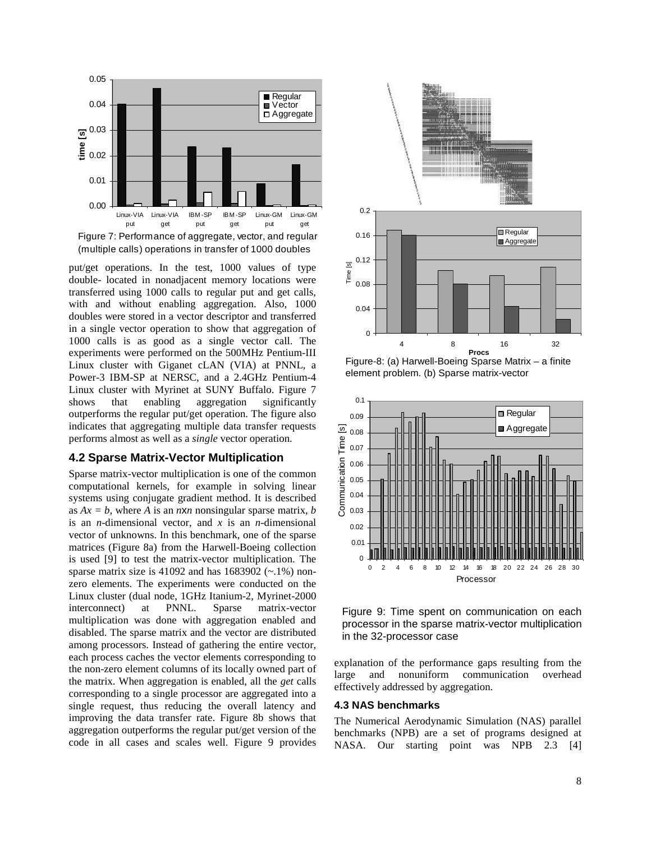

(multiple calls) operations in transfer of 1000 doubles

put/get operations. In the test, 1000 values of type double- located in nonadjacent memory locations were transferred using 1000 calls to regular put and get calls, with and without enabling aggregation. Also, 1000 doubles were stored in a vector descriptor and transferred in a single vector operation to show that aggregation of 1000 calls is as good as a single vector call. The experiments were performed on the 500MHz Pentium-III Linux cluster with Giganet cLAN (VIA) at PNNL, a Power-3 IBM-SP at NERSC, and a 2.4GHz Pentium-4 Linux cluster with Myrinet at SUNY Buffalo. Figure 7 shows that enabling aggregation significantly outperforms the regular put/get operation. The figure also indicates that aggregating multiple data transfer requests performs almost as well as a *single* vector operation.

## **4.2 Sparse Matrix-Vector Multiplication**

Sparse matrix-vector multiplication is one of the common computational kernels, for example in solving linear systems using conjugate gradient method. It is described as  $Ax = b$ , where A is an  $n \times n$  nonsingular sparse matrix, *b* is an *n*-dimensional vector, and *x* is an *n*-dimensional vector of unknowns. In this benchmark, one of the sparse matrices (Figure 8a) from the Harwell-Boeing collection is used [9] to test the matrix-vector multiplication. The sparse matrix size is 41092 and has  $1683902$  ( $\sim$ .1%) nonzero elements. The experiments were conducted on the Linux cluster (dual node, 1GHz Itanium-2, Myrinet-2000 interconnect) at PNNL. Sparse matrix-vector multiplication was done with aggregation enabled and disabled. The sparse matrix and the vector are distributed among processors. Instead of gathering the entire vector, each process caches the vector elements corresponding to the non-zero element columns of its locally owned part of the matrix. When aggregation is enabled, all the *get* calls corresponding to a single processor are aggregated into a single request, thus reducing the overall latency and improving the data transfer rate. Figure 8b shows that aggregation outperforms the regular put/get version of the code in all cases and scales well. Figure 9 provides



Figure-8: (a) Harwell-Boeing Sparse Matrix – a finite element problem. (b) Sparse matrix-vector



Figure 9: Time spent on communication on each processor in the sparse matrix-vector multiplication in the 32-processor case

explanation of the performance gaps resulting from the large and nonuniform communication overhead effectively addressed by aggregation.

#### **4.3 NAS benchmarks**

The Numerical Aerodynamic Simulation (NAS) parallel benchmarks (NPB) are a set of programs designed at NASA. Our starting point was NPB 2.3 [4]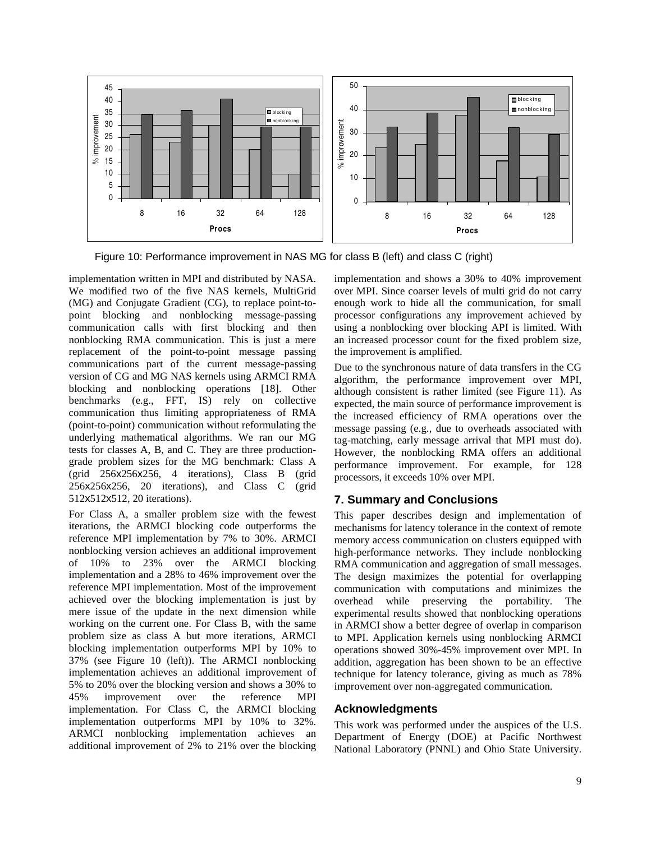

Figure 10: Performance improvement in NAS MG for class B (left) and class C (right)

implementation written in MPI and distributed by NASA. We modified two of the five NAS kernels, MultiGrid (MG) and Conjugate Gradient (CG), to replace point-topoint blocking and nonblocking message-passing communication calls with first blocking and then nonblocking RMA communication. This is just a mere replacement of the point-to-point message passing communications part of the current message-passing version of CG and MG NAS kernels using ARMCI RMA blocking and nonblocking operations [18]. Other benchmarks (e.g., FFT, IS) rely on collective communication thus limiting appropriateness of RMA (point-to-point) communication without reformulating the underlying mathematical algorithms. We ran our MG tests for classes A, B, and C. They are three productiongrade problem sizes for the MG benchmark: Class A (grid 256x256x256, 4 iterations), Class B (grid 256x256x256, 20 iterations), and Class C (grid 512x512x512, 20 iterations).

For Class A, a smaller problem size with the fewest iterations, the ARMCI blocking code outperforms the reference MPI implementation by 7% to 30%. ARMCI nonblocking version achieves an additional improvement of 10% to 23% over the ARMCI blocking implementation and a 28% to 46% improvement over the reference MPI implementation. Most of the improvement achieved over the blocking implementation is just by mere issue of the update in the next dimension while working on the current one. For Class B, with the same problem size as class A but more iterations, ARMCI blocking implementation outperforms MPI by 10% to 37% (see Figure 10 (left)). The ARMCI nonblocking implementation achieves an additional improvement of 5% to 20% over the blocking version and shows a 30% to 45% improvement over the reference MPI implementation. For Class C, the ARMCI blocking implementation outperforms MPI by 10% to 32%. ARMCI nonblocking implementation achieves an additional improvement of 2% to 21% over the blocking

implementation and shows a 30% to 40% improvement over MPI. Since coarser levels of multi grid do not carry enough work to hide all the communication, for small processor configurations any improvement achieved by using a nonblocking over blocking API is limited. With an increased processor count for the fixed problem size, the improvement is amplified.

Due to the synchronous nature of data transfers in the CG algorithm, the performance improvement over MPI, although consistent is rather limited (see Figure 11). As expected, the main source of performance improvement is the increased efficiency of RMA operations over the message passing (e.g., due to overheads associated with tag-matching, early message arrival that MPI must do). However, the nonblocking RMA offers an additional performance improvement. For example, for 128 processors, it exceeds 10% over MPI.

# **7. Summary and Conclusions**

This paper describes design and implementation of mechanisms for latency tolerance in the context of remote memory access communication on clusters equipped with high-performance networks. They include nonblocking RMA communication and aggregation of small messages. The design maximizes the potential for overlapping communication with computations and minimizes the overhead while preserving the portability. The experimental results showed that nonblocking operations in ARMCI show a better degree of overlap in comparison to MPI. Application kernels using nonblocking ARMCI operations showed 30%-45% improvement over MPI. In addition, aggregation has been shown to be an effective technique for latency tolerance, giving as much as 78% improvement over non-aggregated communication.

# **Acknowledgments**

This work was performed under the auspices of the U.S. Department of Energy (DOE) at Pacific Northwest National Laboratory (PNNL) and Ohio State University.